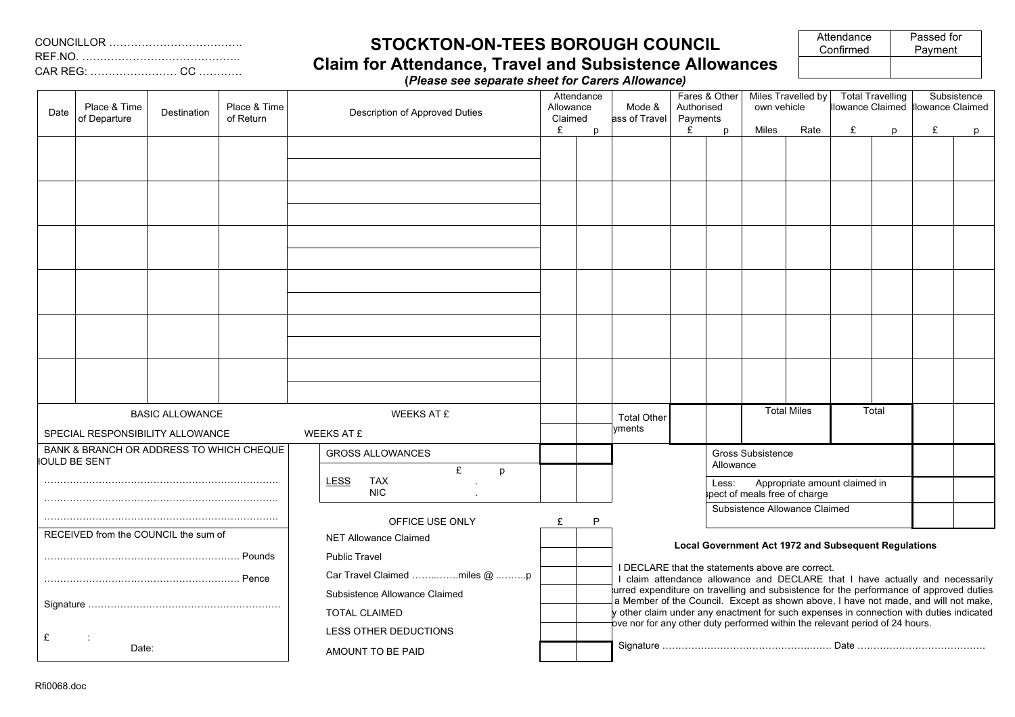## **STOCKTON-ON-TEES BOROUGH COUNCIL**

| Passed for |
|------------|
| Payment    |
|            |
|            |

**Claim for Attendance, Travel and Subsistence Allowances (***Please see separate sheet for Carers Allowance)*

| Date                                                                            | Place & Time<br>of Departure         | Destination | Place & Time<br>of Return | Description of Approved Duties    | Attendance<br>Allowance<br>Claimed |   |                                                                                                                                                                                                  |                                                                                                                                                                         | Mode &<br>ass of Travel | Fares & Other<br>Authorised<br>Payments |      | Miles Travelled by<br>own vehicle |              | <b>Total Travelling</b> |              | Subsistence<br>lowance Claimed Illowance Claimed |  |
|---------------------------------------------------------------------------------|--------------------------------------|-------------|---------------------------|-----------------------------------|------------------------------------|---|--------------------------------------------------------------------------------------------------------------------------------------------------------------------------------------------------|-------------------------------------------------------------------------------------------------------------------------------------------------------------------------|-------------------------|-----------------------------------------|------|-----------------------------------|--------------|-------------------------|--------------|--------------------------------------------------|--|
|                                                                                 |                                      |             |                           |                                   | £                                  | D |                                                                                                                                                                                                  | £                                                                                                                                                                       | $\mathbf{D}$            | Miles                                   | Rate | £                                 | <sub>p</sub> | £                       | $\mathsf{p}$ |                                                  |  |
|                                                                                 |                                      |             |                           |                                   |                                    |   |                                                                                                                                                                                                  |                                                                                                                                                                         |                         |                                         |      |                                   |              |                         |              |                                                  |  |
|                                                                                 |                                      |             |                           |                                   |                                    |   |                                                                                                                                                                                                  |                                                                                                                                                                         |                         |                                         |      |                                   |              |                         |              |                                                  |  |
|                                                                                 |                                      |             |                           |                                   |                                    |   |                                                                                                                                                                                                  |                                                                                                                                                                         |                         |                                         |      |                                   |              |                         |              |                                                  |  |
|                                                                                 |                                      |             |                           |                                   |                                    |   |                                                                                                                                                                                                  |                                                                                                                                                                         |                         |                                         |      |                                   |              |                         |              |                                                  |  |
|                                                                                 |                                      |             |                           |                                   |                                    |   |                                                                                                                                                                                                  |                                                                                                                                                                         |                         |                                         |      |                                   |              |                         |              |                                                  |  |
|                                                                                 |                                      |             |                           |                                   |                                    |   |                                                                                                                                                                                                  |                                                                                                                                                                         |                         |                                         |      |                                   |              |                         |              |                                                  |  |
| <b>BASIC ALLOWANCE</b><br><b>WEEKS AT £</b><br>SPECIAL RESPONSIBILITY ALLOWANCE |                                      |             | <b>WEEKS AT £</b>         |                                   |                                    |   |                                                                                                                                                                                                  |                                                                                                                                                                         |                         | <b>Total Miles</b>                      |      | Total                             |              |                         |              |                                                  |  |
| BANK & BRANCH OR ADDRESS TO WHICH CHEQUE<br><b>JOULD BE SENT</b>                |                                      |             |                           | <b>GROSS ALLOWANCES</b><br>£<br>p |                                    |   | Gross Subsistence<br>Allowance                                                                                                                                                                   |                                                                                                                                                                         |                         |                                         |      |                                   |              |                         |              |                                                  |  |
|                                                                                 |                                      |             |                           | <b>LESS</b><br>TAX<br><b>NIC</b>  |                                    |   | Appropriate amount claimed in<br>Less:<br>spect of meals free of charge<br>Subsistence Allowance Claimed                                                                                         |                                                                                                                                                                         |                         |                                         |      |                                   |              |                         |              |                                                  |  |
|                                                                                 |                                      |             |                           | OFFICE USE ONLY                   |                                    |   |                                                                                                                                                                                                  |                                                                                                                                                                         |                         |                                         |      |                                   |              |                         |              |                                                  |  |
|                                                                                 | RECEIVED from the COUNCIL the sum of |             |                           | <b>NET Allowance Claimed</b>      |                                    |   |                                                                                                                                                                                                  |                                                                                                                                                                         |                         |                                         |      |                                   |              |                         |              |                                                  |  |
|                                                                                 |                                      |             |                           | <b>Public Travel</b>              |                                    |   | <b>Local Government Act 1972 and Subsequent Regulations</b><br>I DECLARE that the statements above are correct.<br>I claim attendance allowance and DECLARE that I have actually and necessarily |                                                                                                                                                                         |                         |                                         |      |                                   |              |                         |              |                                                  |  |
|                                                                                 |                                      |             |                           | Car Travel Claimed miles @ p      |                                    |   |                                                                                                                                                                                                  |                                                                                                                                                                         |                         |                                         |      |                                   |              |                         |              |                                                  |  |
|                                                                                 |                                      |             |                           | Subsistence Allowance Claimed     |                                    |   | urred expenditure on travelling and subsistence for the performance of approved duties<br>a Member of the Council. Except as shown above, I have not made, and will not make,                    |                                                                                                                                                                         |                         |                                         |      |                                   |              |                         |              |                                                  |  |
|                                                                                 |                                      |             |                           | <b>TOTAL CLAIMED</b>              |                                    |   |                                                                                                                                                                                                  | y other claim under any enactment for such expenses in connection with duties indicated<br>ove nor for any other duty performed within the relevant period of 24 hours. |                         |                                         |      |                                   |              |                         |              |                                                  |  |
| £                                                                               |                                      |             |                           | LESS OTHER DEDUCTIONS             |                                    |   |                                                                                                                                                                                                  |                                                                                                                                                                         |                         |                                         |      |                                   |              |                         |              |                                                  |  |
| Date:                                                                           |                                      |             |                           | AMOUNT TO BE PAID                 |                                    |   |                                                                                                                                                                                                  |                                                                                                                                                                         |                         |                                         |      |                                   |              |                         |              |                                                  |  |